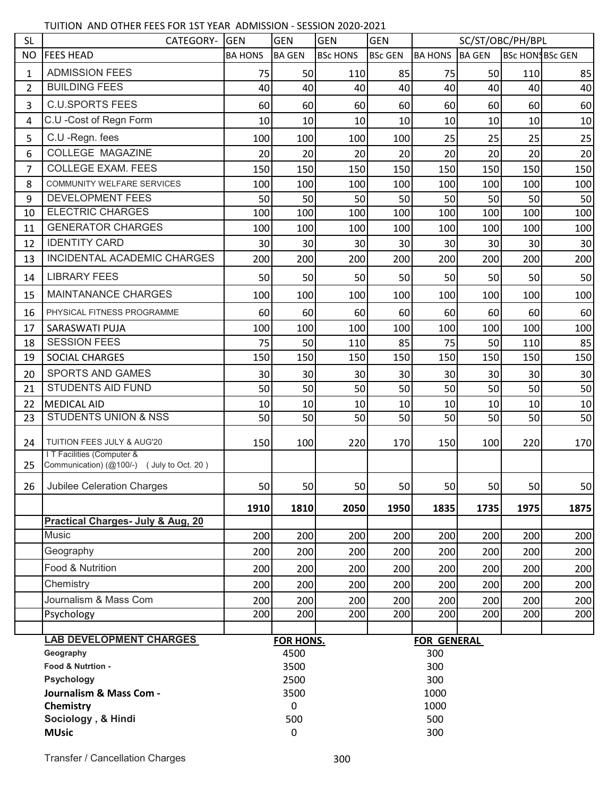### TUITION AND OTHER FEES FOR 1ST YEAR ADMISSION - SESSION 2020-2021

| <b>SL</b>      | CATEGORY-                                                                | <b>GEN</b>     | <b>GEN</b>    | <b>GEN</b>      | <b>GEN</b>     | SC/ST/OBC/PH/BPL |               |                        |        |
|----------------|--------------------------------------------------------------------------|----------------|---------------|-----------------|----------------|------------------|---------------|------------------------|--------|
| <b>NO</b>      | <b>FEES HEAD</b>                                                         | <b>BA HONS</b> | <b>BA GEN</b> | <b>BSc HONS</b> | <b>BSc GEN</b> | <b>BA HONS</b>   | <b>BA GEN</b> | <b>BSc HONSBSC GEN</b> |        |
| 1              | <b>ADMISSION FEES</b>                                                    | 75             | 50            | 110             | 85             | 75               | 50            | 110                    | 85     |
| $\overline{2}$ | <b>BUILDING FEES</b>                                                     | 40             | 40            | 40              | 40             | 40               | 40            | 40                     | 40     |
| 3              | <b>C.U.SPORTS FEES</b>                                                   | 60             | 60            | 60              | 60             | 60               | 60            | 60                     | 60     |
| 4              | C.U -Cost of Regn Form                                                   | 10             | 10            | 10              | 10             | 10               | 10            | 10                     | $10\,$ |
| 5              | C.U -Regn. fees                                                          | 100            | 100           | 100             | 100            | 25               | 25            | 25                     | 25     |
| 6              | COLLEGE MAGAZINE                                                         | 20             | 20            | 20              | 20             | 20               | 20            | 20                     | 20     |
| $\overline{7}$ | <b>COLLEGE EXAM. FEES</b>                                                | 150            | 150           | 150             | 150            | 150              | 150           | 150                    | 150    |
| 8              | <b>COMMUNITY WELFARE SERVICES</b>                                        | 100            | 100           | 100             | 100            | 100              | 100           | 100                    | 100    |
| 9              | <b>DEVELOPMENT FEES</b>                                                  | 50             | 50            | 50              | 50             | 50               | 50            | 50                     | 50     |
| 10             | <b>ELECTRIC CHARGES</b>                                                  | 100            | 100           | 100             | 100            | 100              | 100           | 100                    | 100    |
| 11             | <b>GENERATOR CHARGES</b>                                                 | 100            | 100           | 100             | 100            | 100              | 100           | 100                    | 100    |
| 12             | <b>IDENTITY CARD</b>                                                     | 30             | 30            | 30              | 30             | 30               | 30            | 30                     | 30     |
| 13             | INCIDENTAL ACADEMIC CHARGES                                              | 200            | 200           | 200             | 200            | 200              | 200           | 200                    | 200    |
| 14             | <b>LIBRARY FEES</b>                                                      | 50             | 50            | 50              | 50             | 50               | 50            | 50                     | 50     |
| 15             | <b>MAINTANANCE CHARGES</b>                                               | 100            | 100           | 100             | 100            | 100              | 100           | 100                    | 100    |
| 16             | PHYSICAL FITNESS PROGRAMME                                               | 60             | 60            | 60              | 60             | 60               | 60            | 60                     | 60     |
| 17             | SARASWATI PUJA                                                           | 100            | 100           | 100             | 100            | 100              | 100           | 100                    | 100    |
| 18             | <b>SESSION FEES</b>                                                      | 75             | 50            | 110             | 85             | 75               | 50            | 110                    | 85     |
| 19             | SOCIAL CHARGES                                                           | 150            | 150           | 150             | 150            | 150              | 150           | 150                    | 150    |
| 20             | SPORTS AND GAMES                                                         | 30             | 30            | 30              | 30             | 30               | 30            | 30                     | 30     |
| 21             | <b>STUDENTS AID FUND</b>                                                 | 50             | 50            | 50              | 50             | 50               | 50            | 50                     | 50     |
| 22             | <b>MEDICAL AID</b>                                                       | 10             | 10            | 10              | 10             | 10               | 10            | 10                     | 10     |
| 23             | <b>STUDENTS UNION &amp; NSS</b>                                          | 50             | 50            | 50              | 50             | 50               | 50            | 50                     | 50     |
| 24             | TUITION FEES JULY & AUG'20                                               | 150            | 100           | 220             | 170            | 150              | 100           | 220                    | 170    |
| 25             | I T Facilities (Computer &<br>Communication) (@100/-) ( July to Oct. 20) |                |               |                 |                |                  |               |                        |        |
| 26             | <b>Jubilee Celeration Charges</b>                                        | 50             | 50            | 50              | 50             | 50               | 50            | 50                     | 50     |
|                |                                                                          | 1910           | 1810          | 2050            | 1950           | 1835             | 1735          | 1975                   | 1875   |
|                | Practical Charges- July & Aug, 20                                        |                |               |                 |                |                  |               |                        |        |
|                | Music                                                                    | 200            | 200           | 200             | 200            | 200              | 200           | 200                    | 200    |
|                | Geography                                                                | 200            | 200           | 200             | 200            | 200              | 200           | 200                    | 200    |
|                | Food & Nutrition                                                         | 200            | 200           | 200             | 200            | 200              | 200           | 200                    | 200    |
|                | Chemistry                                                                | 200            | 200           | 200             | 200            | 200              | 200           | 200                    | 200    |
|                | Journalism & Mass Com                                                    | 200            | 200           | 200             | 200            | 200              | 200           | 200                    | 200    |
|                | Psychology                                                               | 200            | 200           | 200             | 200            | 200              | 200           | 200                    | 200    |
|                |                                                                          |                |               |                 |                |                  |               |                        |        |
|                | <b>LAB DEVELOPMENT CHARGES</b><br>FOR HONS.<br><b>FOR GENERAL</b>        |                |               |                 |                |                  |               |                        |        |
|                | Geography<br>Food & Nutrtion -                                           |                | 4500<br>3500  |                 |                | 300<br>300       |               |                        |        |
|                | <b>Psychology</b>                                                        |                | 2500          |                 |                | 300              |               |                        |        |
|                | Journalism & Mass Com -                                                  |                | 3500          |                 |                | 1000             |               |                        |        |
|                | Chemistry                                                                |                | $\mathbf 0$   |                 |                | 1000             |               |                        |        |
|                | Sociology, & Hindi                                                       |                | 500           |                 |                | 500              |               |                        |        |
|                | <b>MUsic</b>                                                             |                | 0             |                 |                | 300              |               |                        |        |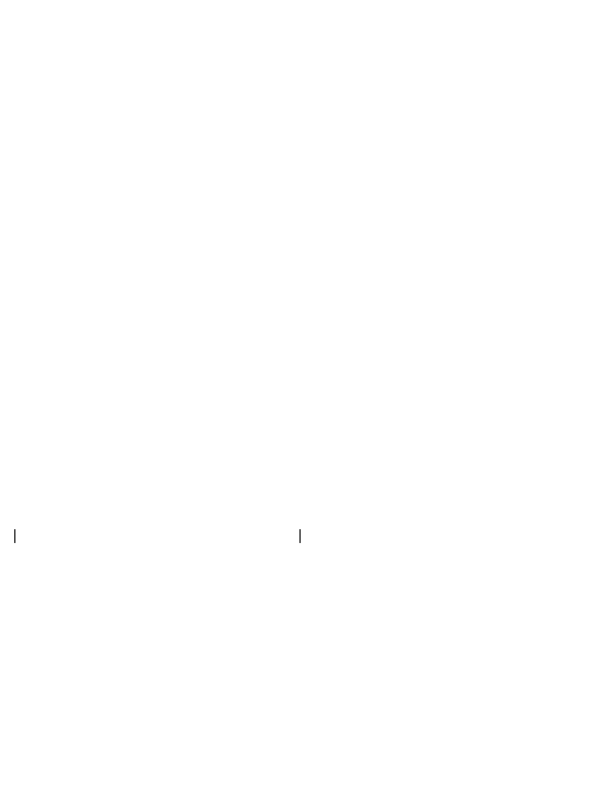$\boldsymbol{\mathsf{I}}$ 

 $\mathbf l$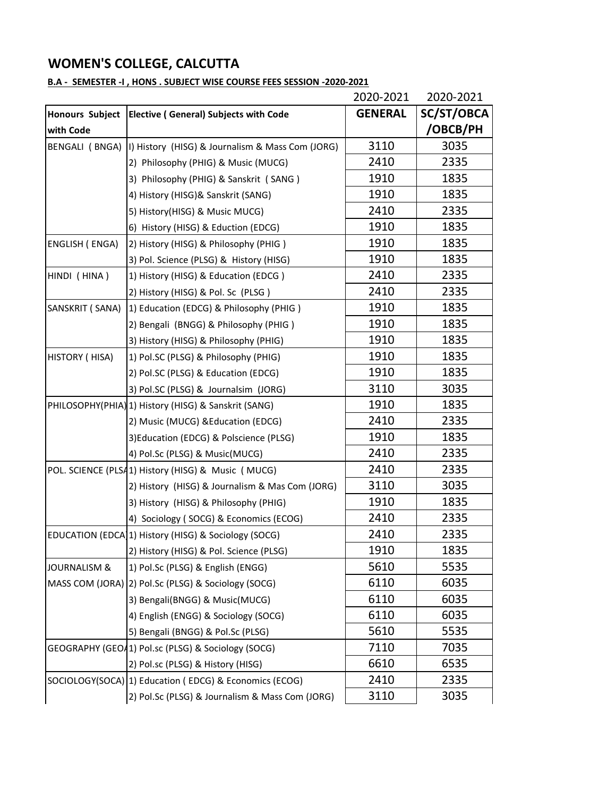# **WOMEN'S COLLEGE, CALCUTTA**

### **B.A - SEMESTER -I , HONS . SUBJECT WISE COURSE FEES SESSION -2020-2021**

|                                                                        |                                                        | 2020-2021      | 2020-2021  |  |
|------------------------------------------------------------------------|--------------------------------------------------------|----------------|------------|--|
| <b>Elective (General) Subjects with Code</b><br><b>Honours Subject</b> |                                                        | <b>GENERAL</b> | SC/ST/OBCA |  |
| with Code                                                              |                                                        |                | /OBCB/PH   |  |
| BENGALI (BNGA)                                                         | II) History (HISG) & Journalism & Mass Com (JORG)      | 3110           | 3035       |  |
|                                                                        | 2) Philosophy (PHIG) & Music (MUCG)                    | 2410           | 2335       |  |
|                                                                        | 3) Philosophy (PHIG) & Sanskrit (SANG)                 | 1910           | 1835       |  |
|                                                                        | 4) History (HISG)& Sanskrit (SANG)                     | 1910           | 1835       |  |
|                                                                        | 5) History(HISG) & Music MUCG)                         | 2410           | 2335       |  |
|                                                                        | 6) History (HISG) & Eduction (EDCG)                    | 1910           | 1835       |  |
| ENGLISH (ENGA)                                                         | 2) History (HISG) & Philosophy (PHIG)                  | 1910           | 1835       |  |
|                                                                        | 3) Pol. Science (PLSG) & History (HISG)                | 1910           | 1835       |  |
| HINDI (HINA)                                                           | 1) History (HISG) & Education (EDCG)                   | 2410           | 2335       |  |
|                                                                        | 2) History (HISG) & Pol. Sc (PLSG)                     | 2410           | 2335       |  |
| SANSKRIT (SANA)                                                        | 1) Education (EDCG) & Philosophy (PHIG)                | 1910           | 1835       |  |
|                                                                        | 2) Bengali (BNGG) & Philosophy (PHIG)                  | 1910           | 1835       |  |
|                                                                        | 3) History (HISG) & Philosophy (PHIG)                  | 1910           | 1835       |  |
| HISTORY (HISA)                                                         | 1) Pol.SC (PLSG) & Philosophy (PHIG)                   | 1910           | 1835       |  |
|                                                                        | 2) Pol.SC (PLSG) & Education (EDCG)                    | 1910           | 1835       |  |
|                                                                        | 3) Pol.SC (PLSG) & Journalsim (JORG)                   | 3110           | 3035       |  |
|                                                                        | PHILOSOPHY(PHIA) 1) History (HISG) & Sanskrit (SANG)   | 1910           | 1835       |  |
|                                                                        | 2) Music (MUCG) & Education (EDCG)                     | 2410           | 2335       |  |
|                                                                        | 3) Education (EDCG) & Polscience (PLSG)                | 1910           | 1835       |  |
|                                                                        | 4) Pol.Sc (PLSG) & Music(MUCG)                         | 2410           | 2335       |  |
|                                                                        | POL. SCIENCE (PLS41) History (HISG) & Music (MUCG)     | 2410           | 2335       |  |
|                                                                        | 2) History (HISG) & Journalism & Mas Com (JORG)        | 3110           | 3035       |  |
|                                                                        | 3) History (HISG) & Philosophy (PHIG)                  | 1910           | 1835       |  |
|                                                                        | 4) Sociology (SOCG) & Economics (ECOG)                 | 2410           | 2335       |  |
|                                                                        | EDUCATION (EDCA]1) History (HISG) & Sociology (SOCG)   | 2410           | 2335       |  |
|                                                                        | 2) History (HISG) & Pol. Science (PLSG)                | 1910           | 1835       |  |
| <b>JOURNALISM &amp;</b>                                                | 1) Pol.Sc (PLSG) & English (ENGG)                      | 5610           | 5535       |  |
|                                                                        | MASS COM (JORA) 2) Pol.Sc (PLSG) & Sociology (SOCG)    | 6110           | 6035       |  |
|                                                                        | 3) Bengali(BNGG) & Music(MUCG)                         | 6110           | 6035       |  |
|                                                                        | 4) English (ENGG) & Sociology (SOCG)                   | 6110           | 6035       |  |
|                                                                        | 5) Bengali (BNGG) & Pol.Sc (PLSG)                      | 5610           | 5535       |  |
|                                                                        | GEOGRAPHY (GEO/1) Pol.sc (PLSG) & Sociology (SOCG)     | 7110           | 7035       |  |
|                                                                        | 2) Pol.sc (PLSG) & History (HISG)                      | 6610           | 6535       |  |
|                                                                        | SOCIOLOGY(SOCA) 1) Education (EDCG) & Economics (ECOG) | 2410           | 2335       |  |
|                                                                        | 2) Pol.Sc (PLSG) & Journalism & Mass Com (JORG)        | 3110           | 3035       |  |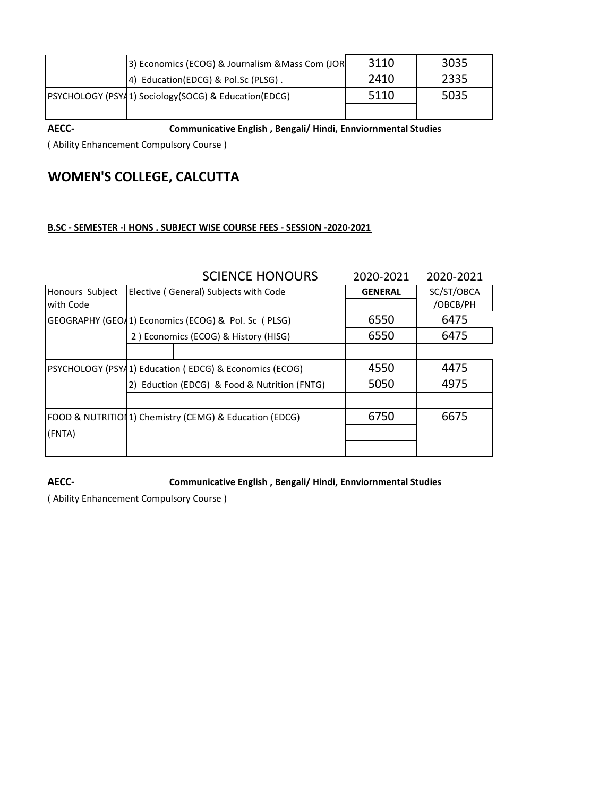| 3) Economics (ECOG) & Journalism & Mass Com (JOR       |      | 3035 |
|--------------------------------------------------------|------|------|
| 4) Education(EDCG) & Pol.Sc (PLSG).                    | 2410 | 2335 |
| PSYCHOLOGY (PSY41) Sociology (SOCG) & Education (EDCG) | 5110 | 5035 |
|                                                        |      |      |

 **Communicative English , Bengali/ Hindi, Ennviornmental Studies AECC-**

( Ability Enhancement Compulsory Course )

## **WOMEN'S COLLEGE, CALCUTTA**

#### **B.SC - SEMESTER -I HONS . SUBJECT WISE COURSE FEES - SESSION -2020-2021**

|                                                     | <b>SCIENCE HONOURS</b>                                 | 2020-2021      | 2020-2021  |
|-----------------------------------------------------|--------------------------------------------------------|----------------|------------|
| Honours Subject                                     | Elective (General) Subjects with Code                  | <b>GENERAL</b> | SC/ST/OBCA |
| with Code                                           |                                                        |                | /OBCB/PH   |
| GEOGRAPHY (GEO/1) Economics (ECOG) & Pol. Sc (PLSG) |                                                        | 6550           | 6475       |
|                                                     | 2) Economics (ECOG) & History (HISG)                   | 6550           | 6475       |
|                                                     |                                                        |                |            |
|                                                     | PSYCHOLOGY (PSY41) Education (EDCG) & Economics (ECOG) | 4550           | 4475       |
|                                                     | 2) Eduction (EDCG) & Food & Nutrition (FNTG)           | 5050           | 4975       |
|                                                     |                                                        |                |            |
|                                                     | FOOD & NUTRITION1) Chemistry (CEMG) & Education (EDCG) | 6750           | 6675       |
| (FNTA)                                              |                                                        |                |            |
|                                                     |                                                        |                |            |

 **Communicative English , Bengali/ Hindi, Ennviornmental Studies AECC-**

( Ability Enhancement Compulsory Course )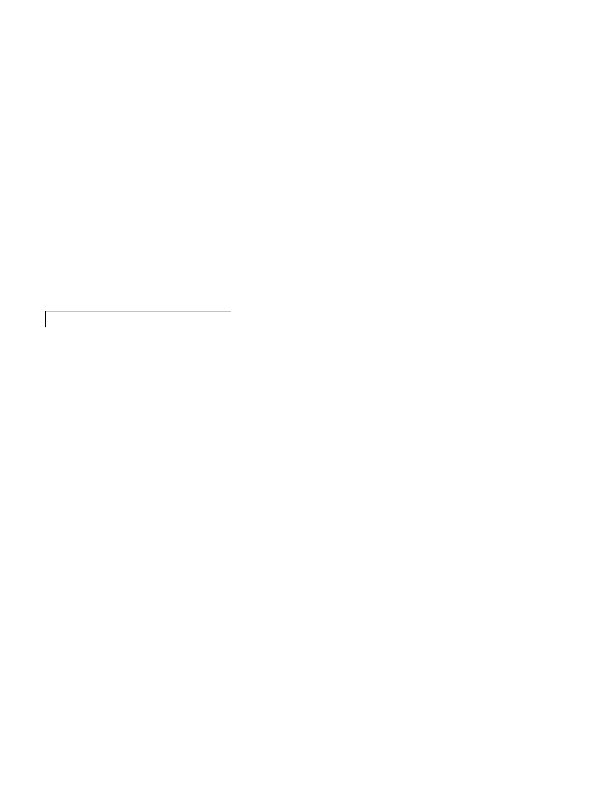$\mathsf{l}$